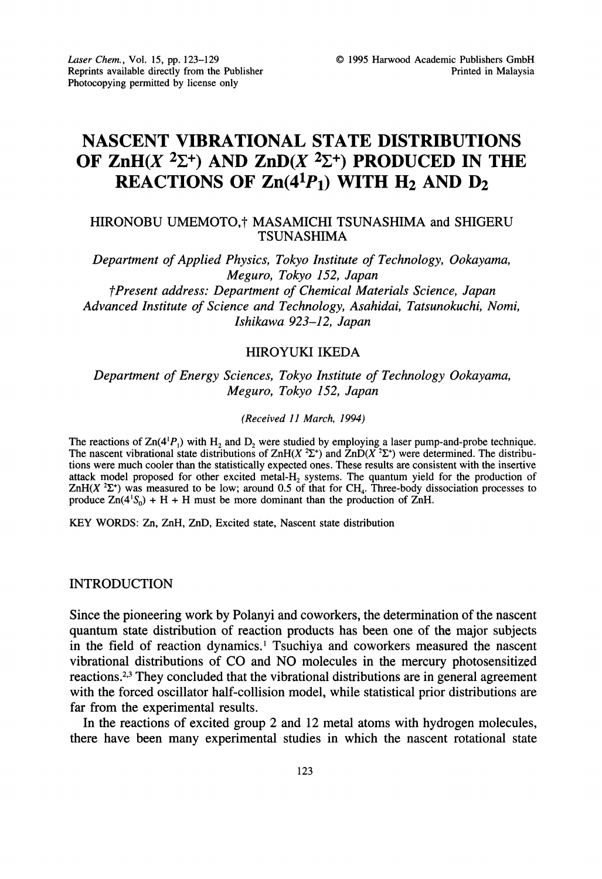# NASCENT VIBRATIONAL STATE DISTRIBUTIONS OF ZnH $(X^2\Sigma^+)$  AND ZnD $(X^2\Sigma^+)$  PRODUCED IN THE REACTIONS OF  $Zn(4^1P_1)$  WITH  $H_2$  AND  $D_2$

## HIRONOBU UMEMOTO,<sup>†</sup> MASAMICHI TSUNASHIMA and SHIGERU TSUNASHIMA

Department of Applied Physics, Tokyo Institute of Technology, Ookayama, Meguro, Tokyo 152, Japan Present address: Department of Chemical Materials Science, Japan Advanced Institute of Science and Technology, Asahidai, Tatsunokuchi, Nomi, Ishikawa 923-12, Japan

# HIROYUKI IKEDA

Department of Energy Sciences, Tokyo Institute of Technology Ookayama, Meguro, Tokyo 152, Japan

#### (Received 11 March, 1994)

The reactions of  $\text{Zn}(4^1P_1)$  with  $H_2$  and  $D_2$  were studied by employing a laser pump-and-probe technique. The nascent vibrational state distributions of ZnH(X  ${}^{2}\Sigma^{+}$ ) and  $ZnD(X {}^{2}\Sigma^{+})$  were determined. The distributions were much cooler than the statistically expected ones. These results are consistent with the insertive attack model proposed for other excited metal-H<sub>2</sub> systems. The quantum yield for the production of  $ZnH(X^2\Sigma^*)$  was measured to be low; around 0.5 of that for CH<sub>4</sub>. Three-body dissociation processes to produce  $Zn(4^1S_0) + H + H$  must be more dominant than the production of  $ZnH$ .

KEY WORDS: Zn, ZnH, ZnD, Excited state, Nascent state distribution

#### INTRODUCTION

Since the pioneering work by Polanyi and coworkers, the determination of the nascent quantum state distribution of reaction products has been one of the major subjects in the field of reaction dynamics.<sup>1</sup> Tsuchiya and coworkers measured the nascent vibrational distributions of CO and NO molecules in the mercury photosensitized reactions.2,3 They concluded that the vibrational distributions are in general agreement with the forced oscillator half-collision model, while statistical prior distributions are far from the experimental results.

In the reactions of excited group 2 and 12 metal atoms with hydrogen molecules, there have been many experimental studies in which the nascent rotational state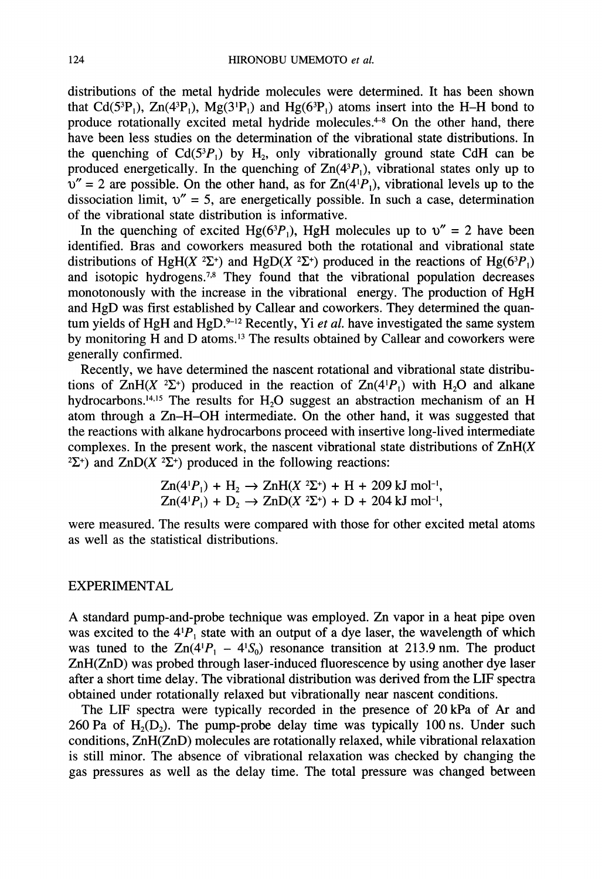distributions of the metal hydride molecules were determined, it has been shown that Cd(5<sup>3</sup>P<sub>1</sub>), Zn(4<sup>3</sup>P<sub>1</sub>), Mg(3<sup>1</sup>P<sub>1</sub>) and Hg(6<sup>3</sup>P<sub>1</sub>) atoms insert into the H–H bond to produce rotationally excited metal hydride molecules.<sup>4-8</sup> On the other hand, there have been less studies on the determination of the vibrational state distributions. In the quenching of  $Cd(5<sup>3</sup>P<sub>1</sub>)$  by H<sub>2</sub>, only vibrationally ground state CdH can be produced energetically. In the quenching of  $Zn(4<sup>3</sup>P<sub>1</sub>)$ , vibrational states only up to  $v'' = 2$  are possible. On the other hand, as for  $Zn(4|P_1)$ , vibrational levels up to the dissociation limit,  $v'' = 5$ , are energetically possible. In such a case, determination of the vibrational state distribution is informative.

In the quenching of excited Hg( $63P_1$ ), HgH molecules up to  $v'' = 2$  have been identified. Bras and coworkers measured both the rotational and vibrational state distributions of HgH(X <sup>2</sup> $\Sigma$ <sup>+</sup>) and HgD(X <sup>2</sup> $\Sigma$ <sup>+</sup>) produced in the reactions of Hg(6<sup>3</sup> $P_1$ ) and isotopic hydrogens.<sup>7,8</sup> They found that the vibrational population decreases monotonously with the increase in the vibrational energy. The production of HgH and HgD was first established by Callear and coworkers. They determined the quantum yields of HgH and HgD. $9-12$  Recently, Yi et al. have investigated the same system by monitoring H and D atoms.<sup>13</sup> The results obtained by Callear and coworkers were generally confirmed.

Recently, we have determined the nascent rotational and vibrational state distributions of  $\text{ZnH}(X^2\Sigma^+)$  produced in the reaction of  $\text{Zn}(4^1P_1)$  with H<sub>2</sub>O and alkane hydrocarbons.<sup>14,15</sup> The results for H<sub>2</sub>O suggest an abstraction mechanism of an H atom through <sup>a</sup> Zn-H-OH intermediate. On the other hand, it was suggested that the reactions with alkane hydrocarbons proceed with insertive long-lived intermediate complexes. In the present work, the nascent vibrational state distributions of  $ZnH(X)$ <sup>2</sup> $\sum$ <sup>+</sup>) and ZnD(X<sup>2</sup> $\sum$ <sup>+</sup>) produced in the following reactions:

$$
Zn(4^1P_1) + H_2 \to ZnH(X^2\Sigma^+) + H + 209 \text{ kJ mol}^{-1},
$$
  

$$
Zn(4^1P_1) + D_2 \to ZnD(X^2\Sigma^+) + D + 204 \text{ kJ mol}^{-1},
$$

were measured. The results were compared with those for other excited metal atoms as well as the statistical distributions.

## EXPERIMENTAL

A standard pump-and-probe technique was employed. Zn vapor in <sup>a</sup> heat pipe oven was excited to the  $4^1P_1$  state with an output of a dye laser, the wavelength of which was tuned to the  $Zn(4^1P_1 - 4^1S_0)$  resonance transition at 213.9 nm. The product ZnH(ZnD) was probed through laser-induced fluorescence by using another dye laser after a short time delay. The vibrational distribution was derived from the LIF spectra obtained under rotationally relaxed but vibrationally near nascent conditions.

The LIF spectra were typically recorded in the presence of 20 kPa of Ar and 260 Pa of  $H_2(D_2)$ . The pump-probe delay time was typically 100 ns. Under such conditions, ZnH(ZnD) molecules are rotationally relaxed, while vibrational relaxation is still minor. The absence of vibrational relaxation was checked by changing the gas pressures as well as the delay time. The total pressure was changed between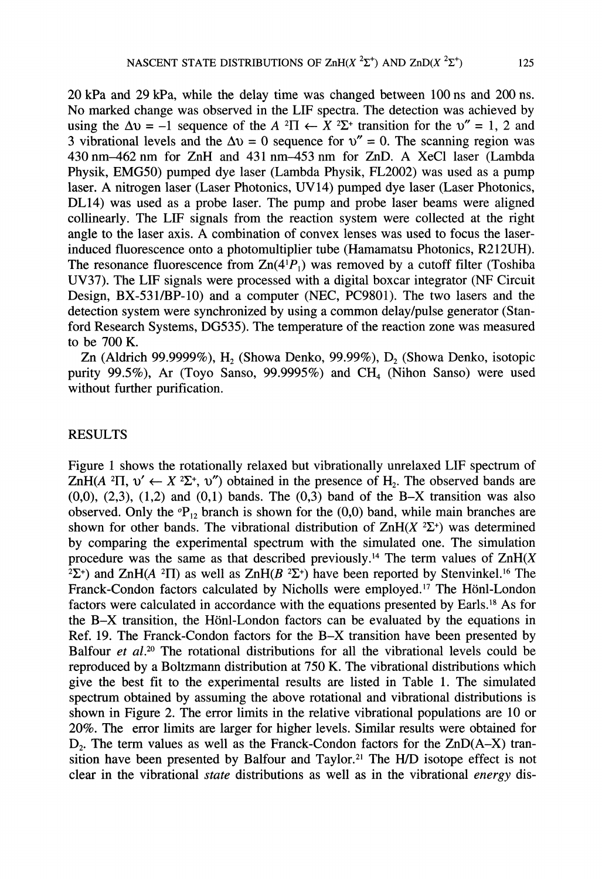20 kPa and 29 kPa, while the delay time was changed between 100 ns and 200 ns. No marked change was observed in the LIF spectra. The detection was achieved by using the  $\Delta v = -1$  sequence of the  $A^2\Pi \leftarrow X^2\Sigma^+$  transition for the  $v'' = 1$ , 2 and 3 vibrational levels and the  $\Delta v = 0$  sequence for  $v'' = 0$ . The scanning region was 430nm-462 nm for ZnH and <sup>431</sup> nm-453 nm for ZnD. A XeC1 laser (Lambda Physik, EMG50) pumped dye laser (Lambda Physik, FL2002) was used as a pump laser. A nitrogen laser (Laser Photonics, UV14) pumped dye laser (Laser Photonics, DL14) was used as a probe laser. The pump and probe laser beams were aligned collinearly. The LIF signals from the reaction system were collected at the right angle to the laser axis. A combination of convex lenses was used to focus the laser-

induced fluorescence onto a photomultiplier tube (Hamamatsu Photonics, R212UH). The resonance fluorescence from  $\text{Zn}(4^{\dagger}P_1)$  was removed by a cutoff filter (Toshiba UV37). The LIF signals were processed with a digital boxcar integrator (NF Circuit Design, BX-531/BP-10) and a computer (NEC, PC9801). The two lasers and the detection system were synchronized by using a common delay/pulse generator (Stanford Research Systems, DG535). The temperature of the reaction zone was measured to be 700 K.

Zn (Aldrich 99.9999%), H<sub>2</sub> (Showa Denko, 99.99%), D<sub>2</sub> (Showa Denko, isotopic purity 99.5%), Ar (Toyo Sanso, 99.9995%) and  $CH<sub>4</sub>$  (Nihon Sanso) were used without further purification.

# RESULTS

Figure <sup>1</sup> shows the rotationally relaxed but vibrationally unrelaxed LIF spectrum of ZnH(A <sup>2</sup>H, v'  $\leftarrow$  X <sup>2</sup> $\Sigma$ <sup>+</sup>, v'') obtained in the presence of H<sub>2</sub>. The observed bands are  $(0,0)$ ,  $(2,3)$ ,  $(1,2)$  and  $(0,1)$  bands. The  $(0,3)$  band of the B-X transition was also observed. Only the  ${}^{\circ}P_{12}$  branch is shown for the (0,0) band, while main branches are shown for other bands. The vibrational distribution of  $ZnH(X^2\Sigma^+)$  was determined by comparing the experimental spectrum with the simulated one. The simulation procedure was the same as that described previously.<sup>14</sup> The term values of  $ZnH(X)$  $^{2}\Sigma^{+}$ ) and ZnH(A <sup>2</sup>II) as well as ZnH(B <sup>2</sup> $\Sigma^{+}$ ) have been reported by Stenvinkel.<sup>16</sup> The Franck-Condon factors calculated by Nicholls were employed.<sup>17</sup> The Hönl-London factors were calculated in accordance with the equations presented by Earls.<sup>18</sup> As for the B-X transition, the Hönl-London factors can be evaluated by the equations in Ref. 19. The Franck-Condon factors for the B-X transition have been presented by Balfour *et al.*<sup>20</sup> The rotational distributions for all the vibrational levels could be reproduced by a Boltzmann distribution at 750 K. The vibrational distributions which give the best fit to the experimental results are listed in Table 1. The simulated spectrum obtained by assuming the above rotational and vibrational distributions is shown in Figure 2. The error limits in the relative vibrational populations are 10 or 20%. The error limits are larger for higher levels. Similar results were obtained for  $D_2$ . The term values as well as the Franck-Condon factors for the ZnD( $A-X$ ) transition have been presented by Balfour and Taylor.<sup>21</sup> The H/D isotope effect is not clear in the vibrational *state* distributions as well as in the vibrational *energy* dis-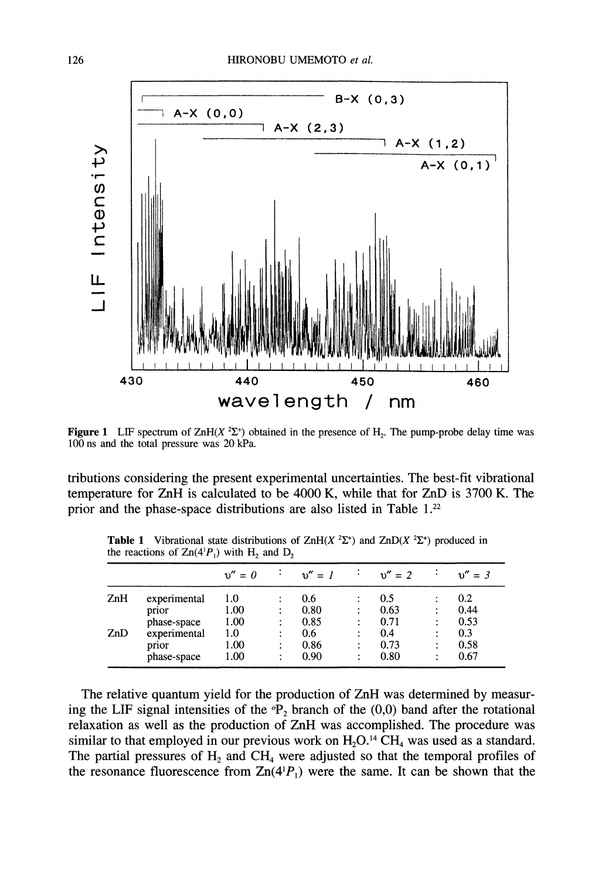

**Figure 1** LIF spectrum of ZnH(X  ${}^{2}\Sigma^{+}$ ) obtained in the presence of H<sub>2</sub>. The pump-probe delay time was 100 ns and the total pressure was 20 kPa.

tributions considering the present experimental uncertainties. The best-fit vibrational temperature for ZnH is calculated to be 4000 K, while that for ZnD is 3700 K. The prior and the phase-space distributions are also listed in Table 1.<sup>22</sup>

|     |              | $v'' = 0$ | $v'' = 1$ |        | $v'' = 2$ |                | $v'' = 3$ |
|-----|--------------|-----------|-----------|--------|-----------|----------------|-----------|
| ZnH | experimental | 1.0       | 0.6       | ٠<br>٠ | 0.5       |                | 0.2       |
|     | prior        | 1.00      | 0.80      | ٠<br>٠ | 0.63      | ٠              | 0.44      |
|     | phase-space  | 1.00      | 0.85      | ٠      | 0.71      | $\ddot{\cdot}$ | 0.53      |
| ZnD | experimental | 1.0       | 0.6       | ٠<br>٠ | 0.4       | ٠              | 0.3       |
|     | prior        | 1.00      | 0.86      | ٠      | 0.73      | ٠              | 0.58      |
|     | phase-space  | 1.00      | 0.90      | ٠      | 0.80      | ٠              | 0.67      |

**Table 1** Vibrational state distributions of ZnH(X  ${}^{2}\Sigma^{+}$ ) and ZnD(X  ${}^{2}\Sigma^{+}$ ) produced in the reactions of  $\text{Zn}(4^1P_1)$  with  $H_2$  and  $D_2$ 

The relative quantum yield for the production of ZnH was determined by measuring the LIF signal intensities of the  ${}^{\circ}P_2$  branch of the (0,0) band after the rotational relaxation as well as the production of ZnH was accomplished. The procedure was similar to that employed in our previous work on  $H_2O^{14}CH_4$  was used as a standard. The partial pressures of  $H_2$  and  $CH_4$  were adjusted so that the temporal profiles of the resonance fluorescence from  $\text{Zn}(4^1P_1)$  were the same. It can be shown that the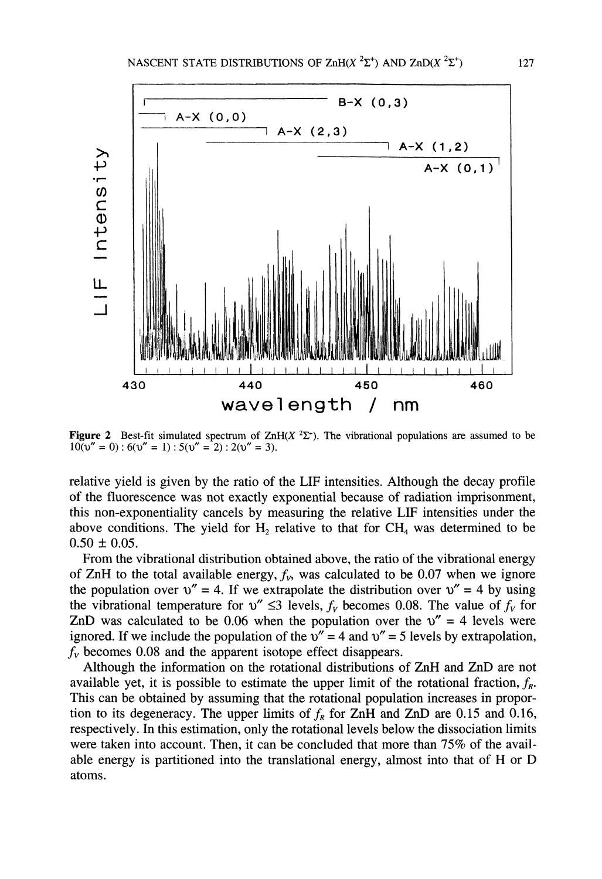

**Figure 2** Best-fit simulated spectrum of ZnH(X  ${}^{2}\Sigma^{+}$ ). The vibrational populations are assumed to be  $100v'' = 0$ :  $6(v'' = 1)$ :  $5(v'' = 2)$ :  $2(v'' = 3)$ .

relative yield is given by the ratio of the LIF intensities. Although the decay profile of the fluorescence was not exactly exponential because of radiation imprisonment, this non-exponentiality cancels by measuring the relative LIF intensities under the above conditions. The yield for  $H_2$  relative to that for  $CH_4$  was determined to be  $0.50 \pm 0.05$ .

From the vibrational distribution obtained above, the ratio of the vibrational energy of ZnH to the total available energy,  $f_v$ , was calculated to be 0.07 when we ignore the population over  $v'' = 4$ . If we extrapolate the distribution over  $v'' = 4$  by using the vibrational temperature for  $v'' \leq 3$  levels,  $f_v$  becomes 0.08. The value of  $f_v$  for ZnD was calculated to be 0.06 when the population over the  $v'' = 4$  levels were ignored. If we include the population of the  $v'' = 4$  and  $v'' = 5$  levels by extrapolation,  $f<sub>V</sub>$  becomes 0.08 and the apparent isotope effect disappears.

Although the information on the rotational distributions of ZnH and ZnD are not available yet, it is possible to estimate the upper limit of the rotational fraction,  $f_R$ . This can be obtained by assuming that the rotational population increases in proportion to its degeneracy. The upper limits of  $f_R$  for ZnH and ZnD are 0.15 and 0.16, respectively. In this estimation, only the rotational levels below the dissociation limits were taken into account. Then, it can be concluded that more than 75% of the available energy is partitioned into the translational energy, almost into that of H or D atoms.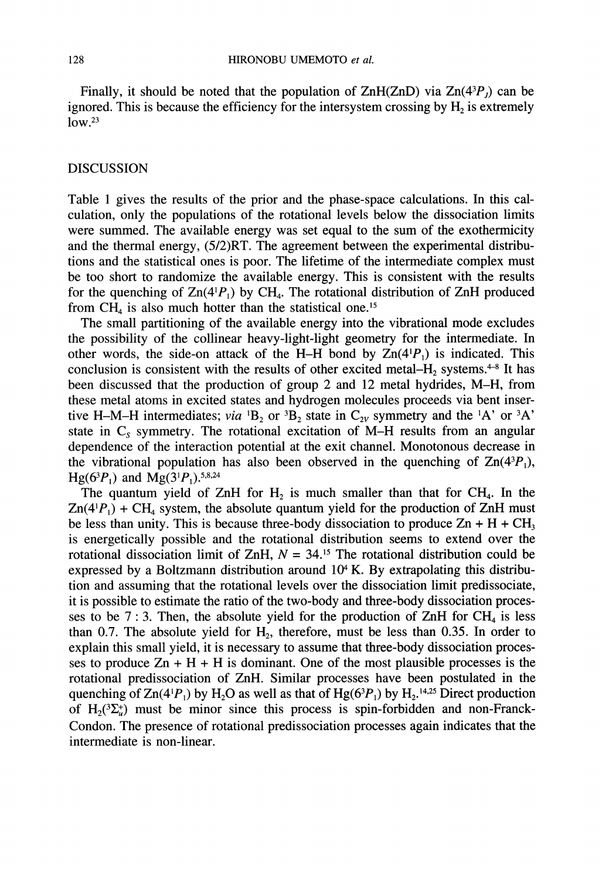Finally, it should be noted that the population of  $\text{ZnH}(\text{ZnD})$  via  $\text{Zn}(4^3P)$  can be ignored. This is because the efficiency for the intersystem crossing by  $H_2$  is extremely  $low.<sup>23</sup>$ 

### DISCUSSION

Table <sup>1</sup> gives the results of the prior and the phase-space calculations. In this calculation, only the populations of the rotational levels below the dissociation limits were summed. The available energy was set equal to the sum of the exothermicity and the thermal energy, (5/2)RT. The agreement between the experimental distributions and the statistical ones is poor. The lifetime of the intermediate complex must be too short to randomize the available energy. This is consistent with the results for the quenching of  $Zn(4^1P_1)$  by CH<sub>4</sub>. The rotational distribution of ZnH produced from  $CH<sub>4</sub>$  is also much hotter than the statistical one.<sup>15</sup>

The small partitioning of the available energy into the vibrational mode excludes the possibility of the collinear heavy-light-light geometry for the intermediate. In other words, the side-on attack of the H-H bond by  $Zn(4<sup>1</sup>P<sub>1</sub>)$  is indicated. This conclusion is consistent with the results of other excited metal– $H_2$  systems.<sup>4-8</sup> It has been discussed that the production of group 2 and 12 metal hydrides, M-H, from these metal atoms in excited states and hydrogen molecules proceeds via bent insertive H-M-H intermediates; via  ${}^{1}B_{2}$  or  ${}^{3}B_{2}$  state in  $C_{2V}$  symmetry and the  ${}^{1}A'$  or  ${}^{3}A'$ state in  $C_s$  symmetry. The rotational excitation of M-H results from an angular dependence of the interaction potential at the exit channel. Monotonous decrease in the vibrational population has also been observed in the quenching of  $Zn(4^{3}P_{1})$ ,  $Hg(6^3P_1)$  and  $Mg(3^1P_1)$ .<sup>5,8,24</sup>

The quantum yield of ZnH for  $H_2$  is much smaller than that for CH<sub>4</sub>. In the  $Zn(4|P_1) + CH_4$  system, the absolute quantum yield for the production of ZnH must be less than unity. This is because three-body dissociation to produce  $Zn + H + CH_3$ is energetically possible and the rotational distribution seems to extend over the rotational dissociation limit of ZnH,  $N = 34$ .<sup>15</sup> The rotational distribution could be expressed by a Boltzmann distribution around  $10<sup>4</sup>$  K. By extrapolating this distribution and assuming that the rotational levels over the dissociation limit predissociate, it is possible to estimate the ratio of the two-body and three-body dissociation processes to be 7 : 3. Then, the absolute yield for the production of  $ZnH$  for  $CH_4$  is less than 0.7. The absolute yield for  $H_2$ , therefore, must be less than 0.35. In order to explain this small yield, it is necessary to assume that three-body dissociation processes to produce  $Zn + H + H$  is dominant. One of the most plausible processes is the rotational predissociation of ZnH. Similar processes have been postulated in the quenching of  $Zn(4^1P_1)$  by H<sub>2</sub>O as well as that of Hg( $6^3P_1$ ) by H<sub>2</sub>.<sup>14,25</sup> Direct production of H<sub>2</sub>( ${}^{3}\Sigma_{u}^{+}$ ) must be minor since this process is spin-forbidden and non-Franck-Condon. The presence of rotational predissociation processes again indicates that the intermediate is non-linear.